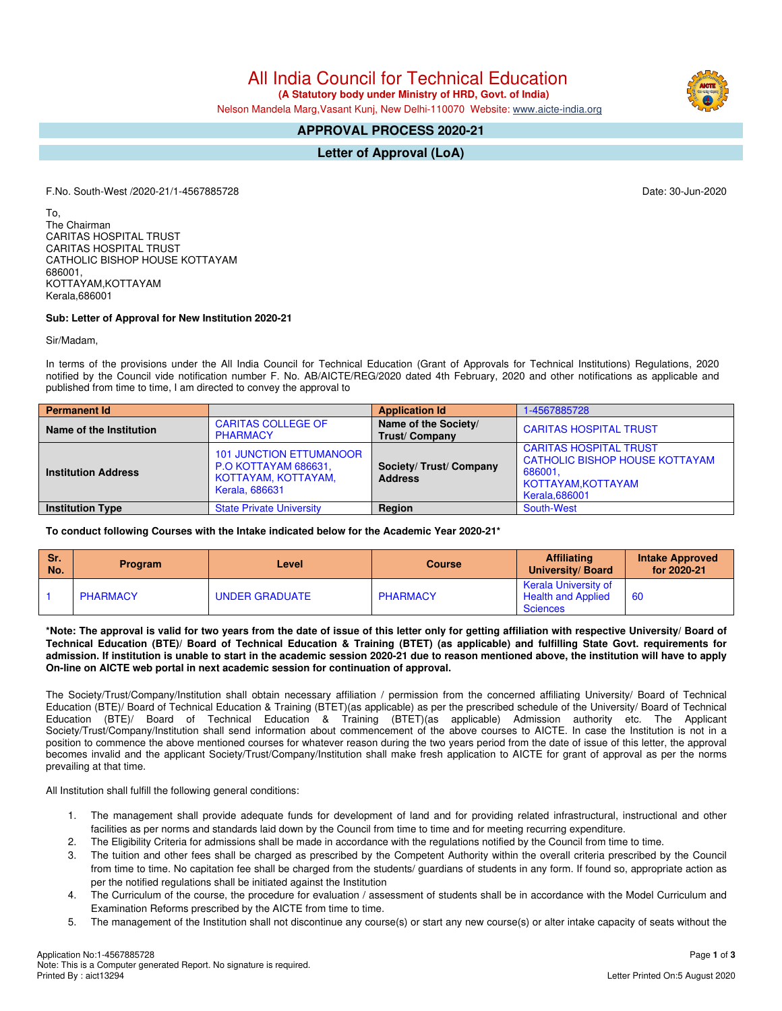All India Council for Technical Education

(A Statutory body under Ministry of HRD, Govt. of India)

Nelson Mandela Marg, Vasant Kunj, New Delhi-110070 Website: www.aicte-india.org

# **APPROVAL PROCESS 2020-21**

**Letter of Approval (LoA)** 

F.No. South-West /2020-21/1-4567885728

To, The Chairman **CARITAS HOSPITAL TRUST CARITAS HOSPITAL TRUST** CATHOLIC BISHOP HOUSE KOTTAYAM 686001, KOTTAYAM, KOTTAYAM Kerala, 686001

# Sub: Letter of Approval for New Institution 2020-21

Sir/Madam.

In terms of the provisions under the All India Council for Technical Education (Grant of Approvals for Technical Institutions) Regulations, 2020 notified by the Council vide notification number F. No. AB/AICTE/REG/2020 dated 4th February, 2020 and other notifications as applicable and published from time to time, I am directed to convey the approval to

| <b>Permanent Id</b>        |                                                                                                        | <b>Application Id</b>                        | 1-4567885728                                                                                                                     |  |  |
|----------------------------|--------------------------------------------------------------------------------------------------------|----------------------------------------------|----------------------------------------------------------------------------------------------------------------------------------|--|--|
| Name of the Institution    | <b>CARITAS COLLEGE OF</b><br><b>PHARMACY</b>                                                           | Name of the Society/<br><b>Trust/Company</b> | <b>CARITAS HOSPITAL TRUST</b>                                                                                                    |  |  |
| <b>Institution Address</b> | <b>101 JUNCTION ETTUMANOOR</b><br>P.O KOTTAYAM 686631,<br>KOTTAYAM, KOTTAYAM,<br><b>Kerala, 686631</b> | Society/ Trust/ Company<br><b>Address</b>    | <b>CARITAS HOSPITAL TRUST</b><br><b>CATHOLIC BISHOP HOUSE KOTTAYAM</b><br>686001.<br>KOTTAYAM, KOTTAYAM<br><b>Kerala, 686001</b> |  |  |
| <b>Institution Type</b>    | <b>State Private University</b>                                                                        | <b>Region</b>                                | South-West                                                                                                                       |  |  |

## To conduct following Courses with the Intake indicated below for the Academic Year 2020-21\*

| Sr.<br>No. | <b>Program</b>  | Level          | <b>Course</b>   | <b>Affiliating</b><br>University/Board                               | <b>Intake Approved</b><br>for 2020-21 |
|------------|-----------------|----------------|-----------------|----------------------------------------------------------------------|---------------------------------------|
|            | <b>PHARMACY</b> | UNDER GRADUATE | <b>PHARMACY</b> | Kerala University of<br><b>Health and Applied</b><br><b>Sciences</b> | -60                                   |

\*Note: The approval is valid for two years from the date of issue of this letter only for getting affiliation with respective University/ Board of Technical Education (BTE)/ Board of Technical Education & Training (BTET) (as applicable) and fulfilling State Govt. requirements for admission. If institution is unable to start in the academic session 2020-21 due to reason mentioned above, the institution will have to apply On-line on AICTE web portal in next academic session for continuation of approval.

The Society/Trust/Company/Institution shall obtain necessary affiliation / permission from the concerned affiliating University/ Board of Technical Education (BTE)/ Board of Technical Education & Training (BTET)(as applicable) as per the prescribed schedule of the University/ Board of Technical Education (BTE)/ Board of Technical Education & Training (BTET)(as applicable) Admission authority etc. The Applicant Society/Trust/Company/Institution shall send information about commencement of the above courses to AICTE. In case the Institution is not in a position to commence the above mentioned courses for whatever reason during the two years period from the date of issue of this letter, the approval becomes invalid and the applicant Society/Trust/Company/Institution shall make fresh application to AICTE for grant of approval as per the norms prevailing at that time.

All Institution shall fulfill the following general conditions:

- The management shall provide adequate funds for development of land and for providing related infrastructural, instructional and other  $1.$ facilities as per norms and standards laid down by the Council from time to time and for meeting recurring expenditure.
- $2.$ The Eligibility Criteria for admissions shall be made in accordance with the regulations notified by the Council from time to time.
- 3. The tuition and other fees shall be charged as prescribed by the Competent Authority within the overall criteria prescribed by the Council from time to time. No capitation fee shall be charged from the students/ guardians of students in any form. If found so, appropriate action as per the notified regulations shall be initiated against the Institution
- The Curriculum of the course, the procedure for evaluation / assessment of students shall be in accordance with the Model Curriculum and  $\overline{4}$ Examination Reforms prescribed by the AICTE from time to time.
- 5. The management of the Institution shall not discontinue any course(s) or start any new course(s) or alter intake capacity of seats without the



Date: 30-Jun-2020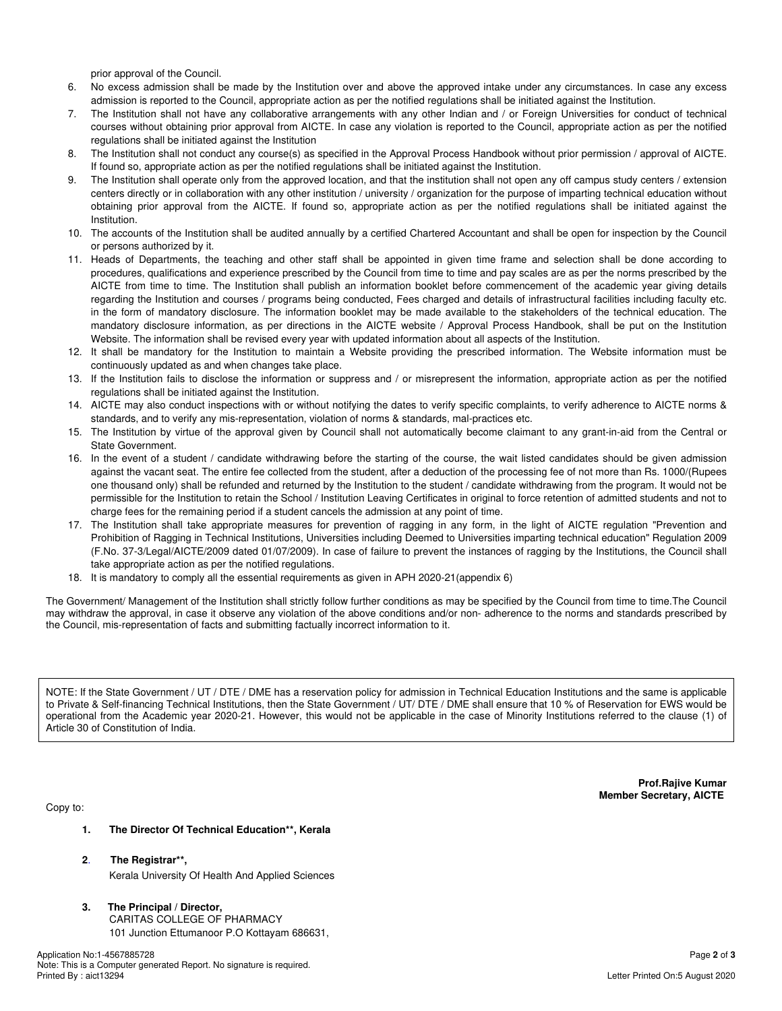prior approval of the Council.

- No excess admission shall be made by the Institution over and above the approved intake under any circumstances. In case any excess 6. admission is reported to the Council, appropriate action as per the notified regulations shall be initiated against the Institution.
- The Institution shall not have any collaborative arrangements with any other Indian and / or Foreign Universities for conduct of technical 7. courses without obtaining prior approval from AICTE. In case any violation is reported to the Council, appropriate action as per the notified regulations shall be initiated against the Institution
- 8. The Institution shall not conduct any course(s) as specified in the Approval Process Handbook without prior permission / approval of AICTE. If found so, appropriate action as per the notified regulations shall be initiated against the Institution.
- q The Institution shall operate only from the approved location, and that the institution shall not open any off campus study centers / extension centers directly or in collaboration with any other institution / university / organization for the purpose of imparting technical education without obtaining prior approval from the AICTE. If found so, appropriate action as per the notified regulations shall be initiated against the Institution.
- 10. The accounts of the Institution shall be audited annually by a certified Chartered Accountant and shall be open for inspection by the Council or persons authorized by it.
- 11. Heads of Departments, the teaching and other staff shall be appointed in given time frame and selection shall be done according to procedures, qualifications and experience prescribed by the Council from time to time and pay scales are as per the norms prescribed by the AICTE from time to time. The Institution shall publish an information booklet before commencement of the academic year giving details regarding the Institution and courses / programs being conducted, Fees charged and details of infrastructural facilities including faculty etc. in the form of mandatory disclosure. The information booklet may be made available to the stakeholders of the technical education. The mandatory disclosure information, as per directions in the AICTE website / Approval Process Handbook, shall be put on the Institution Website. The information shall be revised every year with updated information about all aspects of the Institution.
- 12. It shall be mandatory for the Institution to maintain a Website providing the prescribed information. The Website information must be continuously updated as and when changes take place.
- 13. If the Institution fails to disclose the information or suppress and / or misrepresent the information, appropriate action as per the notified regulations shall be initiated against the Institution.
- 14. AICTE may also conduct inspections with or without notifying the dates to verify specific complaints, to verify adherence to AICTE norms & standards, and to verify any mis-representation, violation of norms & standards, mal-practices etc.
- 15. The Institution by virtue of the approval given by Council shall not automatically become claimant to any grant-in-aid from the Central or State Government.
- 16. In the event of a student / candidate withdrawing before the starting of the course, the wait listed candidates should be given admission against the vacant seat. The entire fee collected from the student, after a deduction of the processing fee of not more than Rs. 1000/(Rupees one thousand only) shall be refunded and returned by the Institution to the student / candidate withdrawing from the program. It would not be permissible for the Institution to retain the School / Institution Leaving Certificates in original to force retention of admitted students and not to charge fees for the remaining period if a student cancels the admission at any point of time.
- 17. The Institution shall take appropriate measures for prevention of ragging in any form, in the light of AICTE regulation "Prevention and Prohibition of Ragging in Technical Institutions, Universities including Deemed to Universities imparting technical education" Regulation 2009 (F.No. 37-3/Legal/AICTE/2009 dated 01/07/2009). In case of failure to prevent the instances of ragging by the Institutions, the Council shall take appropriate action as per the notified regulations.
- 18. It is mandatory to comply all the essential requirements as given in APH 2020-21 (appendix 6)

The Government/ Management of the Institution shall strictly follow further conditions as may be specified by the Council from time to time. The Council may withdraw the approval, in case it observe any violation of the above conditions and/or non-adherence to the norms and standards prescribed by the Council, mis-representation of facts and submitting factually incorrect information to it.

NOTE: If the State Government / UT / DTE / DME has a reservation policy for admission in Technical Education Institutions and the same is applicable to Private & Self-financing Technical Institutions, then the State Government / UT/ DTE / DME shall ensure that 10 % of Reservation for EWS would be operational from the Academic year 2020-21. However, this would not be applicable in the case of Minority Institutions referred to the clause (1) of Article 30 of Constitution of India.

Copy to:

Prof.Rajive Kumar **Member Secretary, AICTE** 

- $\mathbf{1}$ The Director Of Technical Education\*\*, Kerala
- $\mathbf{p}$ The Registrar\*\*.

Kerala University Of Health And Applied Sciences

 $3.$ The Principal / Director, CARITAS COLLEGE OF PHARMACY 101 Junction Ettumanoor P.O Kottayam 686631,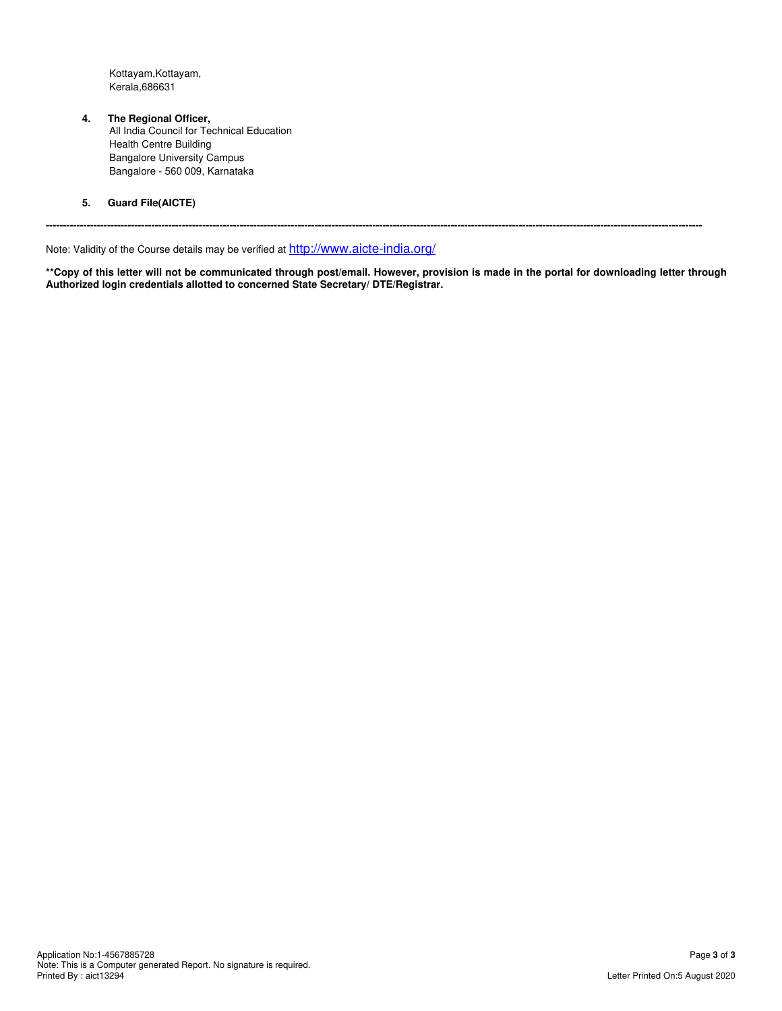Kottayam, Kottayam, Kerala, 686631

 $\overline{4}$ .

The Regional Officer,<br>All India Council for Technical Education **Health Centre Building Bangalore University Campus** Bangalore - 560 009, Karnataka

 $5.$ **Guard File(AICTE)** 

Note: Validity of the Course details may be verified at http://www.aicte-india.org/

\*\* Copy of this letter will not be communicated through post/email. However, provision is made in the portal for downloading letter through Authorized login credentials allotted to concerned State Secretary/ DTE/Registrar.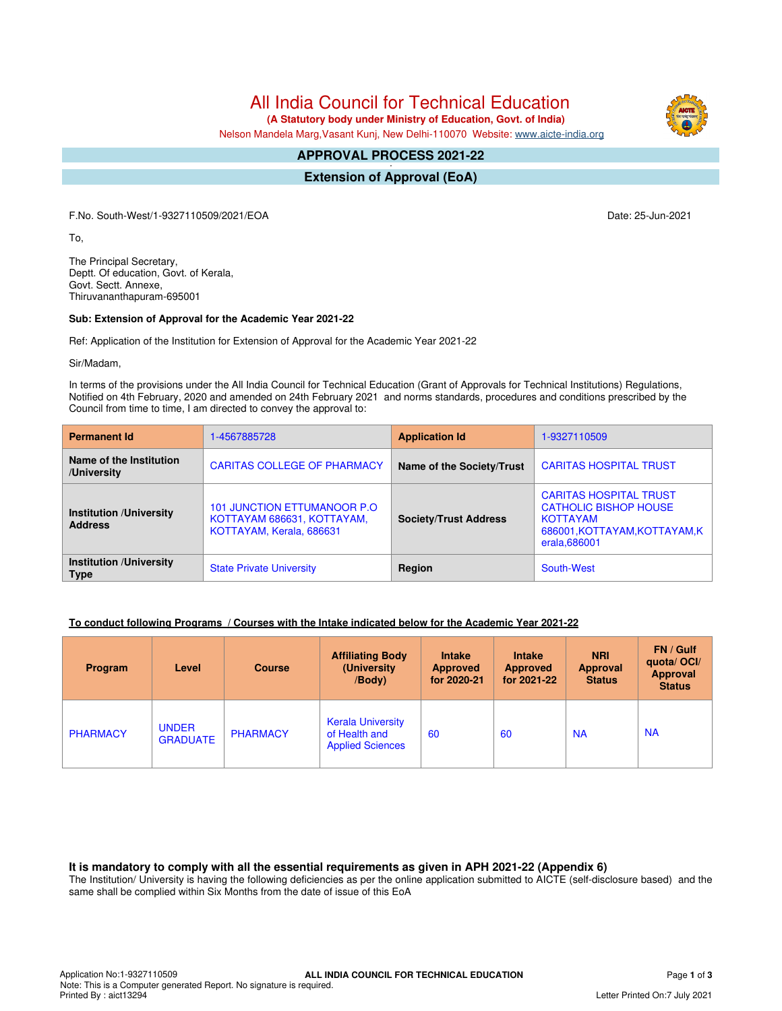All India Council for Technical Education

 **(A Statutory body under Ministry of Education, Govt. of India)**

Nelson Mandela Marg,Vasant Kunj, New Delhi-110070 Website: [www.aicte-india.org](http://www.aicte-india.org)

#### **APPROVAL PROCESS 2021-22 -**

**Extension of Approval (EoA)**

F.No. South-West/1-9327110509/2021/EOA Date: 25-Jun-2021

To,

The Principal Secretary, Deptt. Of education, Govt. of Kerala, Govt. Sectt. Annexe, Thiruvananthapuram-695001

#### **Sub: Extension of Approval for the Academic Year 2021-22**

Ref: Application of the Institution for Extension of Approval for the Academic Year 2021-22

Sir/Madam,

In terms of the provisions under the All India Council for Technical Education (Grant of Approvals for Technical Institutions) Regulations, Notified on 4th February, 2020 and amended on 24th February 2021 and norms standards, procedures and conditions prescribed by the Council from time to time, I am directed to convey the approval to:

| <b>Permanent Id</b>                              | 1-4567885728                                                                           | <b>Application Id</b>        | 1-9327110509                                                                                                                       |  |
|--------------------------------------------------|----------------------------------------------------------------------------------------|------------------------------|------------------------------------------------------------------------------------------------------------------------------------|--|
| Name of the Institution<br>/University           | <b>CARITAS COLLEGE OF PHARMACY</b>                                                     | Name of the Society/Trust    | <b>CARITAS HOSPITAL TRUST</b>                                                                                                      |  |
| <b>Institution /University</b><br><b>Address</b> | 101 JUNCTION ETTUMANOOR P.O.<br>KOTTAYAM 686631, KOTTAYAM,<br>KOTTAYAM, Kerala, 686631 | <b>Society/Trust Address</b> | <b>CARITAS HOSPITAL TRUST</b><br><b>CATHOLIC BISHOP HOUSE</b><br><b>KOTTAYAM</b><br>686001, KOTTAYAM, KOTTAYAM, K<br>erala, 686001 |  |
| <b>Institution /University</b><br><b>Type</b>    | <b>State Private University</b>                                                        | Region                       | South-West                                                                                                                         |  |

### **To conduct following Programs / Courses with the Intake indicated below for the Academic Year 2021-22**

| Program         | Level                           | <b>Course</b>   | <b>Affiliating Body</b><br>(University)<br>/Body)                    | <b>Intake</b><br><b>Approved</b><br>for 2020-21 | <b>Intake</b><br><b>Approved</b><br>for 2021-22 | <b>NRI</b><br><b>Approval</b><br><b>Status</b> | FN / Gulf<br>quota/OCI/<br>Approval<br><b>Status</b> |
|-----------------|---------------------------------|-----------------|----------------------------------------------------------------------|-------------------------------------------------|-------------------------------------------------|------------------------------------------------|------------------------------------------------------|
| <b>PHARMACY</b> | <b>UNDER</b><br><b>GRADUATE</b> | <b>PHARMACY</b> | <b>Kerala University</b><br>of Health and<br><b>Applied Sciences</b> | 60                                              | 60                                              | <b>NA</b>                                      | <b>NA</b>                                            |

**It is mandatory to comply with all the essential requirements as given in APH 2021-22 (Appendix 6)**

The Institution/ University is having the following deficiencies as per the online application submitted to AICTE (self-disclosure based) and the same shall be complied within Six Months from the date of issue of this EoA

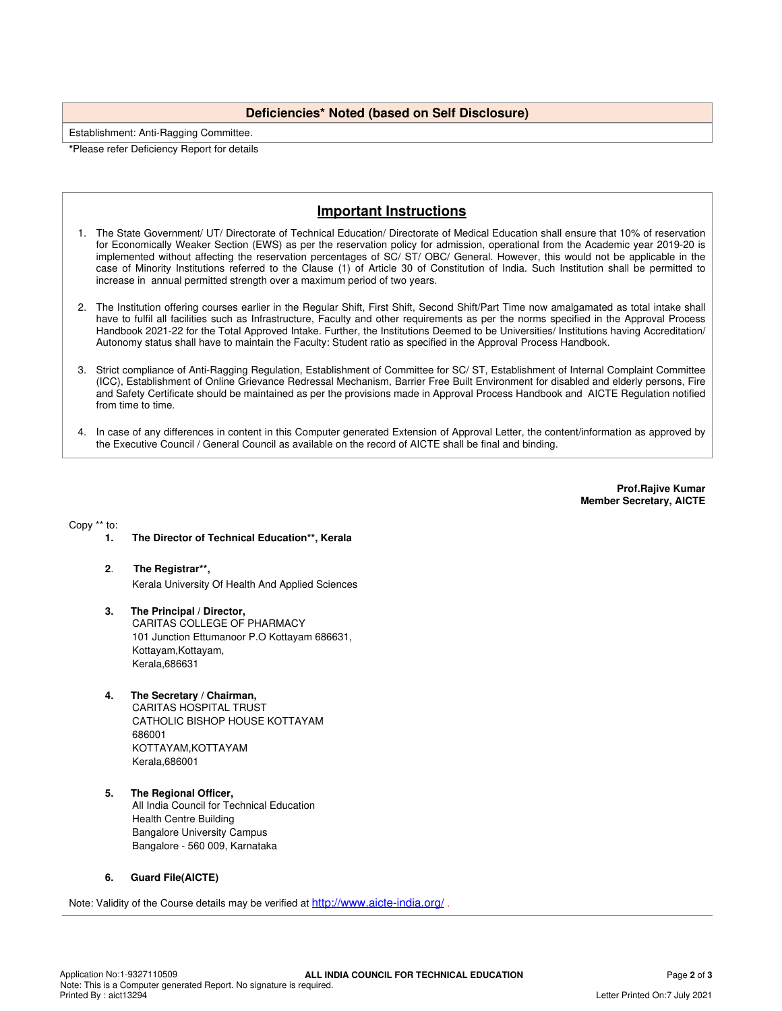### **Deficiencies\* Noted (based on Self Disclosure)**

Establishment: Anti-Ragging Committee.

**\***Please refer Deficiency Report for details

# **Important Instructions**

- 1. The State Government/ UT/ Directorate of Technical Education/ Directorate of Medical Education shall ensure that 10% of reservation for Economically Weaker Section (EWS) as per the reservation policy for admission, operational from the Academic year 2019-20 is implemented without affecting the reservation percentages of SC/ ST/ OBC/ General. However, this would not be applicable in the case of Minority Institutions referred to the Clause (1) of Article 30 of Constitution of India. Such Institution shall be permitted to increase in annual permitted strength over a maximum period of two years.
- 2. The Institution offering courses earlier in the Regular Shift, First Shift, Second Shift/Part Time now amalgamated as total intake shall have to fulfil all facilities such as Infrastructure, Faculty and other requirements as per the norms specified in the Approval Process Handbook 2021-22 for the Total Approved Intake. Further, the Institutions Deemed to be Universities/ Institutions having Accreditation/ Autonomy status shall have to maintain the Faculty: Student ratio as specified in the Approval Process Handbook.
- 3. Strict compliance of Anti-Ragging Regulation, Establishment of Committee for SC/ ST, Establishment of Internal Complaint Committee (ICC), Establishment of Online Grievance Redressal Mechanism, Barrier Free Built Environment for disabled and elderly persons, Fire and Safety Certificate should be maintained as per the provisions made in Approval Process Handbook and AICTE Regulation notified from time to time.
- 4. In case of any differences in content in this Computer generated Extension of Approval Letter, the content/information as approved by the Executive Council / General Council as available on the record of AICTE shall be final and binding.

**Prof.Rajive Kumar Member Secretary, AICTE**

Copy \*\* to:

- **1. The Director of Technical Education\*\*, Kerala**
- **2**. **The Registrar\*\*,** Kerala University Of Health And Applied Sciences
- **3. The Principal / Director,** CARITAS COLLEGE OF PHARMACY 101 Junction Ettumanoor P.O Kottayam 686631, Kottayam,Kottayam, Kerala,686631
- **4. The Secretary / Chairman,**

CARITAS HOSPITAL TRUST CATHOLIC BISHOP HOUSE KOTTAYAM 686001 KOTTAYAM,KOTTAYAM Kerala,686001

**5. The Regional Officer,** All India Council for Technical Education Health Centre Building Bangalore University Campus Bangalore - 560 009, Karnataka

#### **6. Guard File(AICTE)**

Note: Validity of the Course details may be verified at <http://www.aicte-india.org/> **.**